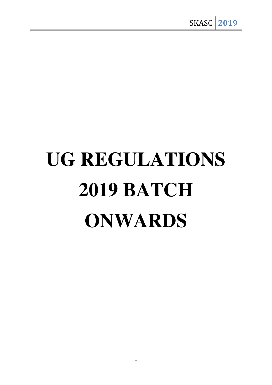# **UG REGULATIONS 2019 BATCH ONWARDS**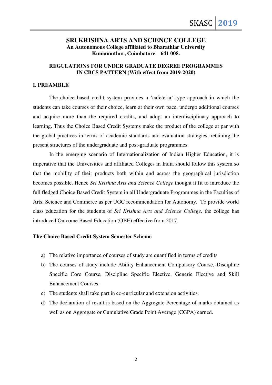# **SRI KRISHNA ARTS AND SCIENCE COLLEGE An Autonomous College affiliated to Bharathiar University Kuniamuthur, Coimbatore – 641 008.**

# **REGULATIONS FOR UNDER GRADUATE DEGREE PROGRAMMES IN CBCS PATTERN (With effect from 2019-2020)**

#### **I. PREAMBLE**

The choice based credit system provides a 'cafeteria' type approach in which the students can take courses of their choice, learn at their own pace, undergo additional courses and acquire more than the required credits, and adopt an interdisciplinary approach to learning. Thus the Choice Based Credit Systems make the product of the college at par with the global practices in terms of academic standards and evaluation strategies, retaining the present structures of the undergraduate and post-graduate programmes.

In the emerging scenario of Internationalization of Indian Higher Education, it is imperative that the Universities and affiliated Colleges in India should follow this system so that the mobility of their products both within and across the geographical jurisdiction becomes possible. Hence *Sri Krishna Arts and Science College* thought it fit to introduce the full fledged Choice Based Credit System in all Undergraduate Programmes in the Faculties of Arts, Science and Commerce as per UGC recommendation for Autonomy. To provide world class education for the students of *Sri Krishna Arts and Science College,* the college has introduced Outcome Based Education (OBE) effective from 2017.

#### **The Choice Based Credit System Semester Scheme**

- a) The relative importance of courses of study are quantified in terms of credits
- b) The courses of study include Ability Enhancement Compulsory Course, Discipline Specific Core Course, Discipline Specific Elective, Generic Elective and Skill Enhancement Courses.
- c) The students shall take part in co-curricular and extension activities.
- d) The declaration of result is based on the Aggregate Percentage of marks obtained as well as on Aggregate or Cumulative Grade Point Average (CGPA) earned.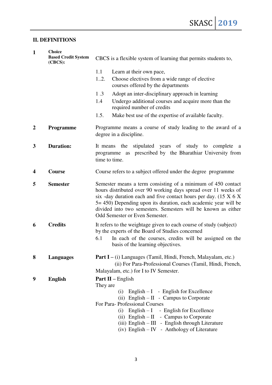# **II. DEFINITIONS**

| $\mathbf{1}$     | <b>Choice</b><br><b>Based Credit System</b><br>$(CBCS)$ : | CBCS is a flexible system of learning that permits students to,                                                                                                                                                                                                                                                                                                                       |  |  |
|------------------|-----------------------------------------------------------|---------------------------------------------------------------------------------------------------------------------------------------------------------------------------------------------------------------------------------------------------------------------------------------------------------------------------------------------------------------------------------------|--|--|
|                  |                                                           | 1.1<br>Learn at their own pace,                                                                                                                                                                                                                                                                                                                                                       |  |  |
|                  |                                                           | Choose electives from a wide range of elective<br>12.<br>courses offered by the departments                                                                                                                                                                                                                                                                                           |  |  |
|                  |                                                           | 1.3<br>Adopt an inter-disciplinary approach in learning                                                                                                                                                                                                                                                                                                                               |  |  |
|                  |                                                           | Undergo additional courses and acquire more than the<br>1.4<br>required number of credits                                                                                                                                                                                                                                                                                             |  |  |
|                  |                                                           | 1.5.<br>Make best use of the expertise of available faculty.                                                                                                                                                                                                                                                                                                                          |  |  |
| $\boldsymbol{2}$ | Programme                                                 | Programme means a course of study leading to the award of a<br>degree in a discipline.                                                                                                                                                                                                                                                                                                |  |  |
| 3                | <b>Duration:</b>                                          | It means the<br>stipulated years of study to complete<br>a<br>programme as prescribed by the Bharathiar University from<br>time to time.                                                                                                                                                                                                                                              |  |  |
| 4                | <b>Course</b>                                             | Course refers to a subject offered under the degree programme                                                                                                                                                                                                                                                                                                                         |  |  |
| 5                | <b>Semester</b>                                           | Semester means a term consisting of a minimum of 450 contact<br>hours distributed over 90 working days spread over 11 weeks of<br>six -day duration each and five contact hours per day. $(15 \times 6 \times$<br>5 = 450) Depending upon its duration, each academic year will be<br>divided into two semesters. Semesters will be known as either<br>Odd Semester or Even Semester. |  |  |
| 6                | <b>Credits</b>                                            | It refers to the weightage given to each course of study (subject)<br>by the experts of the Board of Studies concerned                                                                                                                                                                                                                                                                |  |  |
|                  |                                                           | 6.1<br>In each of the courses, credits will be assigned on the<br>basis of the learning objectives.                                                                                                                                                                                                                                                                                   |  |  |
| 8                | <b>Languages</b>                                          | <b>Part I</b> – (i) Languages (Tamil, Hindi, French, Malayalam, etc.)<br>(ii) For Para-Professional Courses (Tamil, Hindi, French,                                                                                                                                                                                                                                                    |  |  |
|                  |                                                           | Malayalam, etc.) for I to IV Semester.                                                                                                                                                                                                                                                                                                                                                |  |  |
| 9                | <b>English</b>                                            | <b>Part II</b> – English<br>They are                                                                                                                                                                                                                                                                                                                                                  |  |  |
|                  |                                                           | (i) English $- I$ - English for Excellence                                                                                                                                                                                                                                                                                                                                            |  |  |
|                  |                                                           | (ii) English $-II$ - Campus to Corporate                                                                                                                                                                                                                                                                                                                                              |  |  |
|                  |                                                           | For Para-Professional Courses<br>(i) English $-1$ - English for Excellence                                                                                                                                                                                                                                                                                                            |  |  |
|                  |                                                           | (ii) English $-II$ - Campus to Corporate                                                                                                                                                                                                                                                                                                                                              |  |  |
|                  |                                                           | $(iii)$ English – III - English through Literature                                                                                                                                                                                                                                                                                                                                    |  |  |
|                  |                                                           | (iv) English - IV - Anthology of Literature                                                                                                                                                                                                                                                                                                                                           |  |  |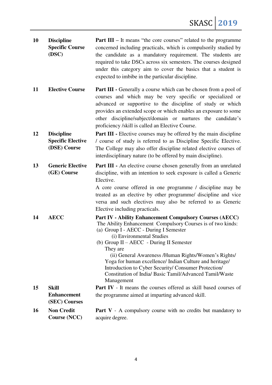| 10        | <b>Discipline</b><br><b>Specific Course</b><br>(DSC)          | <b>Part III</b> – It means "the core courses" related to the programme<br>concerned including practicals, which is compulsorily studied by<br>the candidate as a mandatory requirement. The students are<br>required to take DSCs across six semesters. The courses designed<br>under this category aim to cover the basics that a student is<br>expected to imbibe in the particular discipline.                                                                                                                 |
|-----------|---------------------------------------------------------------|-------------------------------------------------------------------------------------------------------------------------------------------------------------------------------------------------------------------------------------------------------------------------------------------------------------------------------------------------------------------------------------------------------------------------------------------------------------------------------------------------------------------|
| 11        | <b>Elective Course</b>                                        | Part III - Generally a course which can be chosen from a pool of<br>courses and which may be very specific or specialized or<br>advanced or supportive to the discipline of study or which<br>provides an extended scope or which enables an exposure to some<br>other discipline/subject/domain or nurtures the candidate's<br>proficiency /skill is called an Elective Course.                                                                                                                                  |
| 12        | <b>Discipline</b><br><b>Specific Elective</b><br>(DSE) Course | <b>Part III</b> - Elective courses may be offered by the main discipline<br>/ course of study is referred to as Discipline Specific Elective.<br>The College may also offer discipline related elective courses of<br>interdisciplinary nature (to be offered by main discipline).                                                                                                                                                                                                                                |
| 13        | <b>Generic Elective</b><br>(GE) Course                        | <b>Part III</b> - An elective course chosen generally from an unrelated<br>discipline, with an intention to seek exposure is called a Generic<br>Elective.<br>A core course offered in one programme / discipline may be<br>treated as an elective by other programme/ discipline and vice<br>versa and such electives may also be referred to as Generic<br>Elective including practicals.                                                                                                                       |
| 14        | <b>AECC</b>                                                   | <b>Part IV - Ability Enhancement Compulsory Courses (AECC)</b><br>The Ability Enhancement Compulsory Courses is of two kinds:<br>(a) Group I - AECC - During I Semester<br>(i) Environmental Studies<br>(b) Group II - AECC - During II Semester<br>They are<br>(ii) General Awareness / Human Rights/Women's Rights/<br>Yoga for human excellence/ Indian Culture and heritage/<br>Introduction to Cyber Security/ Consumer Protection/<br>Constitution of India/ Basic Tamil/Advanced Tamil/Waste<br>Management |
| 15        | <b>Skill</b>                                                  | <b>Part IV</b> - It means the courses offered as skill based courses of                                                                                                                                                                                                                                                                                                                                                                                                                                           |
|           | <b>Enhancement</b><br>(SEC) Courses                           | the programme aimed at imparting advanced skill.                                                                                                                                                                                                                                                                                                                                                                                                                                                                  |
| <b>16</b> | <b>Non Credit</b>                                             | <b>Part V</b> - A compulsory course with no credits but mandatory to                                                                                                                                                                                                                                                                                                                                                                                                                                              |
|           | Course (NCC)                                                  | acquire degree.                                                                                                                                                                                                                                                                                                                                                                                                                                                                                                   |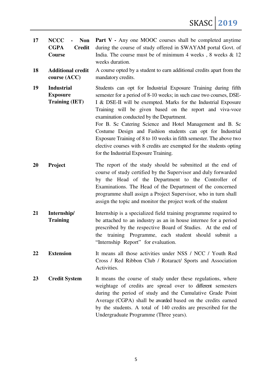| 17 | <b>NCCC</b><br><b>Non</b><br><b>CGPA</b><br><b>Credit</b><br>Course | <b>Part V</b> - Any one MOOC courses shall be completed anytime<br>during the course of study offered in SWAYAM portal Govt. of<br>India. The course must be of minimum 4 weeks, $\delta$ weeks $\&$ 12<br>weeks duration.                                                                                                                                                                                                                                                                                                                                                                                                         |
|----|---------------------------------------------------------------------|------------------------------------------------------------------------------------------------------------------------------------------------------------------------------------------------------------------------------------------------------------------------------------------------------------------------------------------------------------------------------------------------------------------------------------------------------------------------------------------------------------------------------------------------------------------------------------------------------------------------------------|
| 18 | <b>Additional credit</b><br>course (ACC)                            | A course opted by a student to earn additional credits apart from the<br>mandatory credits.                                                                                                                                                                                                                                                                                                                                                                                                                                                                                                                                        |
| 19 | <b>Industrial</b><br><b>Exposure</b><br><b>Training (IET)</b>       | Students can opt for Industrial Exposure Training during fifth<br>semester for a period of 8-10 weeks; in such case two courses, DSE-<br>I & DSE-II will be exempted. Marks for the Industrial Exposure<br>Training will be given based on the report and viva-voce<br>examination conducted by the Department.<br>For B. Sc Catering Science and Hotel Management and B. Sc<br>Costume Design and Fashion students can opt for Industrial<br>Exposure Training of 8 to 10 weeks in fifth semester. The above two<br>elective courses with 8 credits are exempted for the students opting<br>for the Industrial Exposure Training. |
| 20 | Project                                                             | The report of the study should be submitted at the end of<br>course of study certified by the Supervisor and duly forwarded<br>by the Head of the Department to the Controller of<br>Examinations. The Head of the Department of the concerned<br>programme shall assign a Project Supervisor, who in turn shall<br>assign the topic and monitor the project work of the student                                                                                                                                                                                                                                                   |
| 21 | Internship/<br><b>Training</b>                                      | Internship is a specialized field training programme required to<br>be attached to an industry as an in house internee for a period<br>prescribed by the respective Board of Studies. At the end of<br>training Programme, each student should submit a<br>the<br>"Internship Report" for evaluation.                                                                                                                                                                                                                                                                                                                              |
| 22 | <b>Extension</b>                                                    | It means all those activities under NSS / NCC / Youth Red<br>Cross / Red Ribbon Club / Rotaract/ Sports and Association<br>Activities.                                                                                                                                                                                                                                                                                                                                                                                                                                                                                             |
| 23 | <b>Credit System</b>                                                | It means the course of study under these regulations, where<br>weightage of credits are spread over to different semesters<br>during the period of study and the Cumulative Grade Point<br>Average (CGPA) shall be awarded based on the credits earned<br>by the students. A total of 140 credits are prescribed for the<br>Undergraduate Programme (Three years).                                                                                                                                                                                                                                                                 |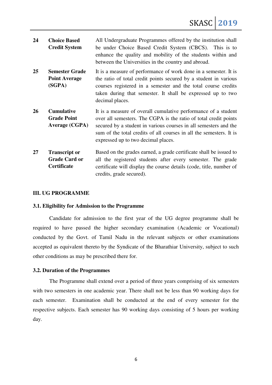| 24 | <b>Choice Based</b><br><b>Credit System</b>                 | All Undergraduate Programmes offered by the institution shall<br>be under Choice Based Credit System (CBCS). This is to<br>enhance the quality and mobility of the students within and<br>between the Universities in the country and abroad.                                                                        |  |
|----|-------------------------------------------------------------|----------------------------------------------------------------------------------------------------------------------------------------------------------------------------------------------------------------------------------------------------------------------------------------------------------------------|--|
| 25 | <b>Semester Grade</b><br><b>Point Average</b><br>(SGPA)     | It is a measure of performance of work done in a semester. It is<br>the ratio of total credit points secured by a student in various<br>courses registered in a semester and the total course credits<br>taken during that semester. It shall be expressed up to two<br>decimal places.                              |  |
| 26 | <b>Cumulative</b><br><b>Grade Point</b><br>Average (CGPA)   | It is a measure of overall cumulative performance of a student<br>over all semesters. The CGPA is the ratio of total credit points<br>secured by a student in various courses in all semesters and the<br>sum of the total credits of all courses in all the semesters. It is<br>expressed up to two decimal places. |  |
| 27 | <b>Transcript or</b><br><b>Grade Card or</b><br>Certificate | Based on the grades earned, a grade certificate shall be issued to<br>all the registered students after every semester. The grade<br>certificate will display the course details (code, title, number of                                                                                                             |  |

#### **III. UG PROGRAMME**

#### **3.1. Eligibility for Admission to the Programme**

Candidate for admission to the first year of the UG degree programme shall be required to have passed the higher secondary examination (Academic or Vocational) conducted by the Govt. of Tamil Nadu in the relevant subjects or other examinations accepted as equivalent thereto by the Syndicate of the Bharathiar University, subject to such other conditions as may be prescribed there for.

credits, grade secured).

#### **3.2. Duration of the Programmes**

The Programme shall extend over a period of three years comprising of six semesters with two semesters in one academic year. There shall not be less than 90 working days for each semester. Examination shall be conducted at the end of every semester for the respective subjects. Each semester has 90 working days consisting of 5 hours per working day.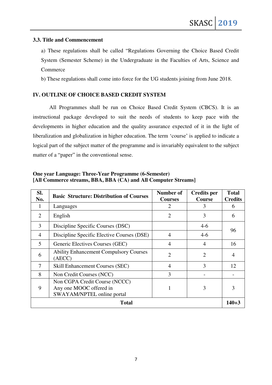#### **3.3. Title and Commencement**

a) These regulations shall be called "Regulations Governing the Choice Based Credit System (Semester Scheme) in the Undergraduate in the Faculties of Arts, Science and Commerce

b) These regulations shall come into force for the UG students joining from June 2018.

# **IV. OUTLINE OF CHOICE BASED CREDIT SYSTEM**

All Programmes shall be run on Choice Based Credit System (CBCS). It is an instructional package developed to suit the needs of students to keep pace with the developments in higher education and the quality assurance expected of it in the light of liberalization and globalization in higher education. The term 'course' is applied to indicate a logical part of the subject matter of the programme and is invariably equivalent to the subject matter of a "paper" in the conventional sense.

| Sl.<br>No.     | <b>Basic Structure: Distribution of Courses</b>                                        | Number of<br><b>Courses</b> | <b>Credits per</b><br><b>Course</b> | <b>Total</b><br><b>Credits</b> |
|----------------|----------------------------------------------------------------------------------------|-----------------------------|-------------------------------------|--------------------------------|
|                | Languages                                                                              | 2                           | 3                                   | 6                              |
| $\overline{2}$ | English                                                                                | $\overline{2}$              | 3                                   | 6                              |
| 3              | Discipline Specific Courses (DSC)                                                      |                             | $4-6$                               |                                |
| $\overline{4}$ | Discipline Specific Elective Courses (DSE)                                             | 4                           | $4-6$                               | 96                             |
| 5              | Generic Electives Courses (GEC)                                                        | $\overline{4}$              | $\overline{4}$                      | 16                             |
| 6              | <b>Ability Enhancement Compulsory Courses</b><br>(AECC)                                | $\overline{2}$              | $\overline{2}$                      | 4                              |
| $\tau$         | <b>Skill Enhancement Courses (SEC)</b>                                                 | $\overline{4}$              | 3                                   | 12                             |
| 8              | Non Credit Courses (NCC)                                                               | 3                           |                                     |                                |
| 9              | Non CGPA Credit Course (NCCC)<br>Any one MOOC offered in<br>SWAYAM/NPTEL online portal | 1                           | 3                                   | 3                              |
| Total          |                                                                                        |                             |                                     | $140 + 3$                      |

**One year Language: Three-Year Programme (6-Semester) [All Commerce streams, BBA, BBA (CA) and All Computer Streams]**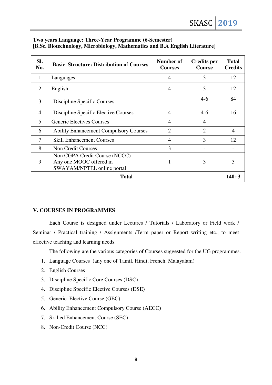| Two years Language: Three-Year Programme (6-Semester)                       |
|-----------------------------------------------------------------------------|
| [B.Sc. Biotechnology, Microbiology, Mathematics and B.A English Literature] |

| SI.<br>No.     | <b>Basic Structure: Distribution of Courses</b>                                        | Number of<br><b>Courses</b> | <b>Credits per</b><br><b>Course</b> | <b>Total</b><br><b>Credits</b> |
|----------------|----------------------------------------------------------------------------------------|-----------------------------|-------------------------------------|--------------------------------|
| 1              | Languages                                                                              | 4                           | 3                                   | 12                             |
| $\overline{2}$ | English                                                                                | $\overline{4}$              | 3                                   | 12                             |
| 3              | Discipline Specific Courses                                                            |                             | $4-6$                               | 84                             |
| $\overline{4}$ | Discipline Specific Elective Courses                                                   | 4                           | $4-6$                               | 16                             |
| 5              | <b>Generic Electives Courses</b>                                                       | 4                           | $\overline{4}$                      |                                |
| 6              | <b>Ability Enhancement Compulsory Courses</b>                                          | $\overline{2}$              | $\mathcal{D}_{\mathcal{L}}$         | $\overline{\mathcal{A}}$       |
| 7              | <b>Skill Enhancement Courses</b>                                                       | $\overline{4}$              | 3                                   | 12                             |
| 8              | <b>Non Credit Courses</b>                                                              | 3                           |                                     |                                |
| 9              | Non CGPA Credit Course (NCCC)<br>Any one MOOC offered in<br>SWAYAM/NPTEL online portal | 1                           | 3                                   | 3                              |
| <b>Total</b>   |                                                                                        |                             |                                     |                                |

# **V. COURSES IN PROGRAMMES**

Each Course is designed under Lectures / Tutorials / Laboratory or Field work / Seminar / Practical training / Assignments /Term paper or Report writing etc., to meet effective teaching and learning needs.

The following are the various categories of Courses suggested for the UG programmes.

- 1. Language Courses (any one of Tamil, Hindi, French, Malayalam)
- 2. English Courses
- 3. Discipline Specific Core Courses (DSC)
- 4. Discipline Specific Elective Courses (DSE)
- 5. Generic Elective Course (GEC)
- 6. Ability Enhancement Compulsory Course (AECC)
- 7. Skilled Enhancement Course (SEC)
- 8. Non-Credit Course (NCC)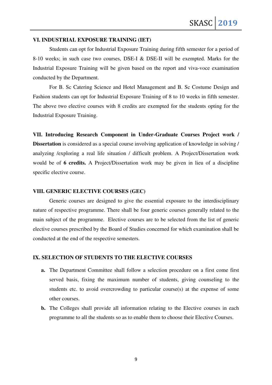#### **VI. INDUSTRIAL EXPOSURE TRAINING (IET)**

Students can opt for Industrial Exposure Training during fifth semester for a period of 8-10 weeks; in such case two courses, DSE-I & DSE-II will be exempted. Marks for the Industrial Exposure Training will be given based on the report and viva-voce examination conducted by the Department.

For B. Sc Catering Science and Hotel Management and B. Sc Costume Design and Fashion students can opt for Industrial Exposure Training of 8 to 10 weeks in fifth semester. The above two elective courses with 8 credits are exempted for the students opting for the Industrial Exposure Training.

**VII. Introducing Research Component in Under-Graduate Courses Project work / Dissertation** is considered as a special course involving application of knowledge in solving / analyzing /exploring a real life situation / difficult problem. A Project/Dissertation work would be of **6 credits.** A Project/Dissertation work may be given in lieu of a discipline specific elective course.

#### **VIII. GENERIC ELECTIVE COURSES (GEC)**

Generic courses are designed to give the essential exposure to the interdisciplinary nature of respective programme. There shall be four generic courses generally related to the main subject of the programme. Elective courses are to be selected from the list of generic elective courses prescribed by the Board of Studies concerned for which examination shall be conducted at the end of the respective semesters.

# **IX. SELECTION OF STUDENTS TO THE ELECTIVE COURSES**

- **a.** The Department Committee shall follow a selection procedure on a first come first served basis, fixing the maximum number of students, giving counseling to the students etc. to avoid overcrowding to particular course(s) at the expense of some other courses.
- **b.** The Colleges shall provide all information relating to the Elective courses in each programme to all the students so as to enable them to choose their Elective Courses.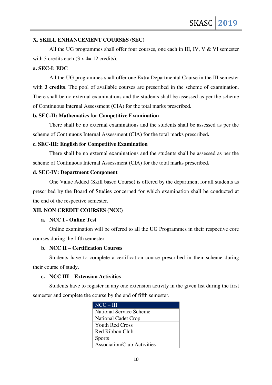# **X. SKILL ENHANCEMENT COURSES (SEC)**

All the UG programmes shall offer four courses, one each in III, IV, V & VI semester with 3 credits each  $(3 \times 4 = 12 \text{ credits})$ .

# **a. SEC-I: EDC**

All the UG programmes shall offer one Extra Departmental Course in the III semester with **3 credits**. The pool of available courses are prescribed in the scheme of examination. There shall be no external examinations and the students shall be assessed as per the scheme of Continuous Internal Assessment (CIA) for the total marks prescribed**.** 

# **b. SEC-II: Mathematics for Competitive Examination**

There shall be no external examinations and the students shall be assessed as per the scheme of Continuous Internal Assessment (CIA) for the total marks prescribed**.** 

#### **c. SEC-III: English for Competitive Examination**

There shall be no external examinations and the students shall be assessed as per the scheme of Continuous Internal Assessment (CIA) for the total marks prescribed**.** 

#### **d. SEC-IV: Department Component**

One Value Added (Skill based Course) is offered by the department for all students as prescribed by the Board of Studies concerned for which examination shall be conducted at the end of the respective semester.

# **XII. NON CREDIT COURSES (NCC)**

# **a. NCC I - Online Test**

Online examination will be offered to all the UG Programmes in their respective core courses during the fifth semester.

# **b. NCC II – Certification Courses**

Students have to complete a certification course prescribed in their scheme during their course of study.

# **c. NCC III – Extension Activities**

Students have to register in any one extension activity in the given list during the first semester and complete the course by the end of fifth semester.

| $NCC - III$                        |
|------------------------------------|
| <b>National Service Scheme</b>     |
| <b>National Cadet Crop</b>         |
| <b>Youth Red Cross</b>             |
| Red Ribbon Club                    |
| <b>Sports</b>                      |
| <b>Association/Club Activities</b> |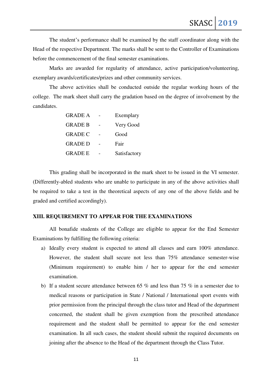The student's performance shall be examined by the staff coordinator along with the Head of the respective Department. The marks shall be sent to the Controller of Examinations before the commencement of the final semester examinations.

Marks are awarded for regularity of attendance, active participation/volunteering, exemplary awards/certificates/prizes and other community services.

The above activities shall be conducted outside the regular working hours of the college. The mark sheet shall carry the gradation based on the degree of involvement by the candidates.

| <b>GRADE A</b> | Exemplary    |
|----------------|--------------|
| <b>GRADE B</b> | Very Good    |
| <b>GRADE C</b> | Good         |
| <b>GRADE D</b> | Fair         |
| <b>GRADE E</b> | Satisfactory |

This grading shall be incorporated in the mark sheet to be issued in the VI semester. (Differently-abled students who are unable to participate in any of the above activities shall be required to take a test in the theoretical aspects of any one of the above fields and be graded and certified accordingly).

#### **XIII. REQUIREMENT TO APPEAR FOR THE EXAMINATIONS**

All bonafide students of the College are eligible to appear for the End Semester Examinations by fulfilling the following criteria:

- a) Ideally every student is expected to attend all classes and earn 100% attendance. However, the student shall secure not less than 75% attendance semester-wise (Minimum requirement) to enable him / her to appear for the end semester examination.
- b) If a student secure attendance between 65 % and less than 75 % in a semester due to medical reasons or participation in State / National / International sport events with prior permission from the principal through the class tutor and Head of the department concerned, the student shall be given exemption from the prescribed attendance requirement and the student shall be permitted to appear for the end semester examination. In all such cases, the student should submit the required documents on joining after the absence to the Head of the department through the Class Tutor.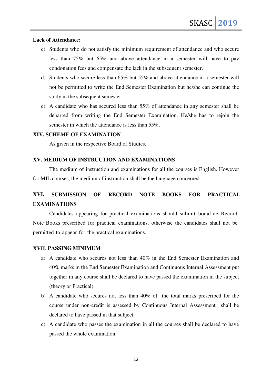# **Lack of Attendance:**

- c) Students who do not satisfy the minimum requirement of attendance and who secure less than 75% but 65% and above attendance in a semester will have to pay condonation fees and compensate the lack in the subsequent semester.
- d) Students who secure less than 65% but 55% and above attendance in a semester will not be permitted to write the End Semester Examination but he/she can continue the study in the subsequent semester.
- e) A candidate who has secured less than 55% of attendance in any semester shall be debarred from writing the End Semester Examination. He/she has to rejoin the semester in which the attendance is less than 55%.

# **XIV. SCHEME OF EXAMINATION**

As given in the respective Board of Studies.

# **XV. MEDIUM OF INSTRUCTION AND EXAMINATIONS**

The medium of instruction and examinations for all the courses is English. However for MIL courses, the medium of instruction shall be the language concerned.

# **XVI. SUBMISSION OF RECORD NOTE BOOKS FOR PRACTICAL EXAMINATIONS**

Candidates appearing for practical examinations should submit bonafide Record Note Books prescribed for practical examinations, otherwise the candidates shall not be permitted to appear for the practical examinations.

# **XVII. PASSING MINIMUM**

- a) A candidate who secures not less than 40% in the End Semester Examination and 40% marks in the End Semester Examination and Continuous Internal Assessment put together in any course shall be declared to have passed the examination in the subject (theory or Practical).
- b) A candidate who secures not less than 40% of the total marks prescribed for the course under non-credit is assessed by Continuous Internal Assessment shall be declared to have passed in that subject.
- c) A candidate who passes the examination in all the courses shall be declared to have passed the whole examination.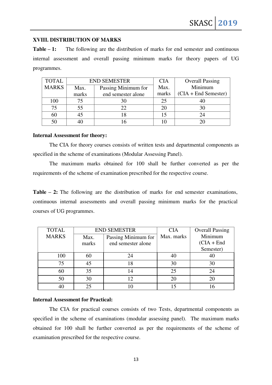# **XVIII. DISTRIBUTION OF MARKS**

**Table – 1:** The following are the distribution of marks for end semester and continuous internal assessment and overall passing minimum marks for theory papers of UG programmes.

| <b>TOTAL</b> | <b>END SEMESTER</b> |                     | <b>CIA</b> | <b>Overall Passing</b> |
|--------------|---------------------|---------------------|------------|------------------------|
| <b>MARKS</b> | Max.                | Passing Minimum for | Max.       | Minimum                |
|              | marks               | end semester alone  | marks      | $(CIA + End Semester)$ |
| 100          |                     | 30                  | 25         |                        |
| 75           | 55                  | 22                  | 20         |                        |
| 60           |                     | 18                  | 15         |                        |
|              |                     |                     |            |                        |

#### **Internal Assessment for theory:**

The CIA for theory courses consists of written tests and departmental components as specified in the scheme of examinations (Modular Assessing Panel).

The maximum marks obtained for 100 shall be further converted as per the requirements of the scheme of examination prescribed for the respective course.

**Table – 2:** The following are the distribution of marks for end semester examinations, continuous internal assessments and overall passing minimum marks for the practical courses of UG programmes.

| <b>TOTAL</b> |       | <b>END SEMESTER</b> | <b>CIA</b> | <b>Overall Passing</b> |
|--------------|-------|---------------------|------------|------------------------|
| <b>MARKS</b> | Max.  | Passing Minimum for | Max. marks | Minimum                |
|              | marks | end semester alone  |            | $(CIA + End$           |
|              |       |                     |            | Semester)              |
| 100          | 60    | 24                  |            | 40                     |
| 75           | 45    | 18                  | 30         | 30                     |
| 60           | 35    |                     | 25         | 24                     |
| 50           | 30    |                     | 20         | 20                     |
|              | 25    |                     | 15         |                        |

#### **Internal Assessment for Practical:**

The CIA for practical courses consists of two Tests, departmental components as specified in the scheme of examinations (modular assessing panel). The maximum marks obtained for 100 shall be further converted as per the requirements of the scheme of examination prescribed for the respective course.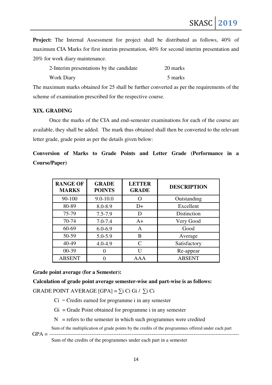SKASC **2019**

**Project:** The Internal Assessment for project shall be distributed as follows, 40% of maximum CIA Marks for first interim presentation, 40% for second interim presentation and 20% for work diary maintenance.

| 2-Interim presentations by the candidate | 20 marks |
|------------------------------------------|----------|
| Work Diary                               | 5 marks  |

The maximum marks obtained for 25 shall be further converted as per the requirements of the scheme of examination prescribed for the respective course.

# **XIX. GRADING**

Once the marks of the CIA and end-semester examinations for each of the course are available, they shall be added. The mark thus obtained shall then be converted to the relevant letter grade, grade point as per the details given below:

|                      |  |  |  |  | Conversion of Marks to Grade Points and Letter Grade (Performance in a |  |
|----------------------|--|--|--|--|------------------------------------------------------------------------|--|
| <b>Course/Paper)</b> |  |  |  |  |                                                                        |  |

| <b>RANGE OF</b><br><b>MARKS</b> | <b>GRADE</b><br><b>POINTS</b> | <b>LETTER</b><br><b>GRADE</b> | <b>DESCRIPTION</b> |
|---------------------------------|-------------------------------|-------------------------------|--------------------|
| 90-100                          | $9.0 - 10.0$                  |                               | Outstanding        |
| 80-89                           | 8.0-8.9                       | D+                            | Excellent          |
| 75-79                           | $7.5 - 7.9$                   | D                             | Distinction        |
| 70-74                           | $7.0 - 7.4$                   | $A+$                          | Very Good          |
| 60-69                           | $6.0 - 6.9$                   | A                             | Good               |
| 50-59                           | 5.0-5.9                       | B                             | Average            |
| 40-49                           | $4.0 - 4.9$                   | $\mathcal{C}_{\mathcal{C}}$   | Satisfactory       |
| $00-39$                         |                               | IΙ                            | Re-appear          |
| <b>ABSENT</b>                   |                               | AAA                           | <b>ABSENT</b>      |

**Grade point average (for a Semester):** 

**Calculation of grade point average semester-wise and part-wise is as follows:** 

GRADE POINT AVERAGE  $[GPA] = \sum i Ci Gi / \sum i Ci$ 

- $Ci = C$  redits earned for programme i in any semester
- $Gi = Grade Point obtained for programme i in any semester$
- $N =$  refers to the semester in which such programmes were credited
- Sum of the multiplication of grade points by the credits of the programmes offered under each part GPA = --------------------------------------------------------------------------------------------------------

Sum of the credits of the programmes under each part in a semester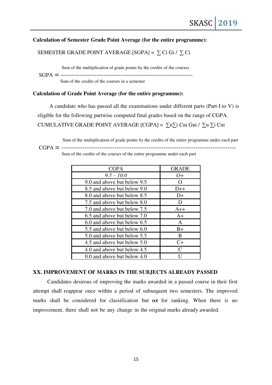# **Calculation of Semester Grade Point Average (for the entire programme):**

# SEMESTER GRADE POINT AVERAGE [SGPA] =  $\sum$  Ci Gi /  $\sum$  Ci

Sum of the multiplication of grade points by the credits of the courses SGPA = -------------------------------------------------------------- Sum of the credits of the courses in a semester

#### **Calculation of Grade Point Average (for the entire programme):**

A candidate who has passed all the examinations under different parts (Part-I to V) is eligible for the following partwise computed final grades based on the range of CGPA. CUMULATIVE GRADE POINT AVERAGE [CGPA] =  $\sum n\sum i$  Cni Gni /  $\sum n\sum i$  Cni

Sum of the multiplication of grade points by the credits of the entire programme under each part

CGPA = ----------------------------------------------------------------------------------

Sum of the credits of the courses of the entire programme under each part

| <b>CGPA</b>                 | <b>GRADE</b>                |
|-----------------------------|-----------------------------|
| $9.5 - 10.0$                | $O+$                        |
| 9.0 and above but below 9.5 | $\Omega$                    |
| 8.5 and above but below 9.0 | $D++$                       |
| 8.0 and above but below 8.5 | $D+$                        |
| 7.5 and above but below 8.0 | D                           |
| 7.0 and above but below 7.5 | $A++$                       |
| 6.5 and above but below 7.0 | $A+$                        |
| 6.0 and above but below 6.5 | $\mathsf{A}$                |
| 5.5 and above but below 6.0 | $B+$                        |
| 5.0 and above but below 5.5 | B                           |
| 4.5 and above but below 5.0 | $C+$                        |
| 4.0 and above but below 4.5 | $\mathcal{C}_{\mathcal{C}}$ |
| 0.0 and above but below 4.0 |                             |

#### **XX. IMPROVEMENT OF MARKS IN THE SUBJECTS ALREADY PASSED**

Candidates desirous of improving the marks awarded in a passed course in their first attempt shall reappear once within a period of subsequent two semesters. The improved marks shall be considered for classification but not for ranking. When there is no improvement, there shall not be any change in the original marks already awarded.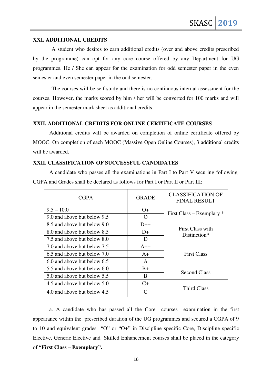# **XXI. ADDITIONAL CREDITS**

 A student who desires to earn additional credits (over and above credits prescribed by the programme) can opt for any core course offered by any Department for UG programmes. He / She can appear for the examination for odd semester paper in the even semester and even semester paper in the odd semester.

 The courses will be self study and there is no continuous internal assessment for the courses. However, the marks scored by him / her will be converted for 100 marks and will appear in the semester mark sheet as additional credits.

# **XXII. ADDITIONAL CREDITS FOR ONLINE CERTIFICATE COURSES**

 Additional credits will be awarded on completion of online certificate offered by MOOC. On completion of each MOOC (Massive Open Online Courses), 3 additional credits will be awarded.

#### **XXII. CLASSIFICATION OF SUCCESSFUL CANDIDATES**

 A candidate who passes all the examinations in Part I to Part V securing following CGPA and Grades shall be declared as follows for Part I or Part II or Part III:

| <b>CGPA</b>                 | <b>GRADE</b> | <b>CLASSIFICATION OF</b><br><b>FINAL RESULT</b> |  |
|-----------------------------|--------------|-------------------------------------------------|--|
| $9.5 - 10.0$                | $O+$         |                                                 |  |
| 9.0 and above but below 9.5 | $\Omega$     | First Class – Exemplary $*$                     |  |
| 8.5 and above but below 9.0 | $D++$        |                                                 |  |
| 8.0 and above but below 8.5 | $D+$         | First Class with<br>Distinction*                |  |
| 7.5 and above but below 8.0 | D            |                                                 |  |
| 7.0 and above but below 7.5 | $A++$        | <b>First Class</b>                              |  |
| 6.5 and above but below 7.0 | $A+$         |                                                 |  |
| 6.0 and above but below 6.5 | A            |                                                 |  |
| 5.5 and above but below 6.0 | $B+$         | <b>Second Class</b>                             |  |
| 5.0 and above but below 5.5 | B            |                                                 |  |
| 4.5 and above but below 5.0 | $C+$         | Third Class                                     |  |
| 4.0 and above but below 4.5 |              |                                                 |  |

a. A candidate who has passed all the Core courses examination in the first appearance within the prescribed duration of the UG programmes and secured a CGPA of 9 to 10 and equivalent grades "O" or "O+" in Discipline specific Core, Discipline specific Elective, Generic Elective and Skilled Enhancement courses shall be placed in the category of **"First Class – Exemplary".**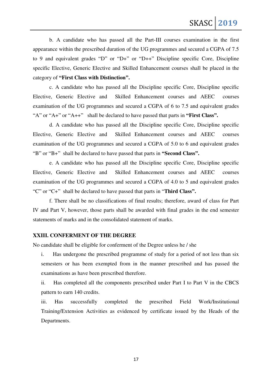b. A candidate who has passed all the Part-III courses examination in the first appearance within the prescribed duration of the UG programmes and secured a CGPA of 7.5 to 9 and equivalent grades "D" or "D+" or "D++" Discipline specific Core, Discipline specific Elective, Generic Elective and Skilled Enhancement courses shall be placed in the category of **"First Class with Distinction".** 

c. A candidate who has passed all the Discipline specific Core, Discipline specific Elective, Generic Elective and Skilled Enhancement courses and AEEC courses examination of the UG programmes and secured a CGPA of 6 to 7.5 and equivalent grades "A" or "A+" or "A++" shall be declared to have passed that parts in **"First Class".** 

d. A candidate who has passed all the Discipline specific Core, Discipline specific Elective, Generic Elective and Skilled Enhancement courses and AEEC courses examination of the UG programmes and secured a CGPA of 5.0 to 6 and equivalent grades "B" or "B+" shall be declared to have passed that parts in **"Second Class".** 

e. A candidate who has passed all the Discipline specific Core, Discipline specific Elective, Generic Elective and Skilled Enhancement courses and AEEC courses examination of the UG programmes and secured a CGPA of 4.0 to 5 and equivalent grades "C" or "C+" shall be declared to have passed that parts in "**Third Class".**

f. There shall be no classifications of final results; therefore, award of class for Part IV and Part V, however, those parts shall be awarded with final grades in the end semester statements of marks and in the consolidated statement of marks.

#### **XXIII. CONFERMENT OF THE DEGREE**

No candidate shall be eligible for conferment of the Degree unless he / she

i. Has undergone the prescribed programme of study for a period of not less than six semesters or has been exempted from in the manner prescribed and has passed the examinations as have been prescribed therefore.

ii. Has completed all the components prescribed under Part I to Part V in the CBCS pattern to earn 140 credits.

iii. Has successfully completed the prescribed Field Work/Institutional Training/Extension Activities as evidenced by certificate issued by the Heads of the Departments.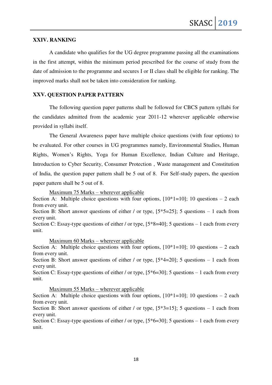#### **XXIV. RANKING**

A candidate who qualifies for the UG degree programme passing all the examinations in the first attempt, within the minimum period prescribed for the course of study from the date of admission to the programme and secures I or II class shall be eligible for ranking. The improved marks shall not be taken into consideration for ranking.

# **XXV. QUESTION PAPER PATTERN**

The following question paper patterns shall be followed for CBCS pattern syllabi for the candidates admitted from the academic year 2011-12 wherever applicable otherwise provided in syllabi itself.

The General Awareness paper have multiple choice questions (with four options) to be evaluated. For other courses in UG programmes namely, Environmental Studies, Human Rights, Women's Rights, Yoga for Human Excellence, Indian Culture and Heritage, Introduction to Cyber Security, Consumer Protection , Waste management and Constitution of India, the question paper pattern shall be 5 out of 8. For Self-study papers, the question paper pattern shall be 5 out of 8.

Maximum 75 Marks – wherever applicable

Section A: Multiple choice questions with four options,  $[10*1=10]$ ; 10 questions – 2 each from every unit.

Section B: Short answer questions of either / or type,  $[5*5=25]$ ; 5 questions – 1 each from every unit.

Section C: Essay-type questions of either / or type,  $[5*8=40]$ ; 5 questions – 1 each from every unit.

Maximum 60 Marks – wherever applicable

Section A: Multiple choice questions with four options,  $[10*1=10]$ ; 10 questions – 2 each from every unit.

Section B: Short answer questions of either / or type,  $[5*4=20]$ ; 5 questions – 1 each from every unit.

Section C: Essay-type questions of either / or type,  $[5*6=30]$ ; 5 questions – 1 each from every unit.

Maximum 55 Marks – wherever applicable

Section A: Multiple choice questions with four options,  $[10*1=10]$ ; 10 questions – 2 each from every unit.

Section B: Short answer questions of either / or type,  $[5*3=15]$ ; 5 questions – 1 each from every unit.

Section C: Essay-type questions of either / or type,  $[5*6=30]$ ; 5 questions – 1 each from every unit.